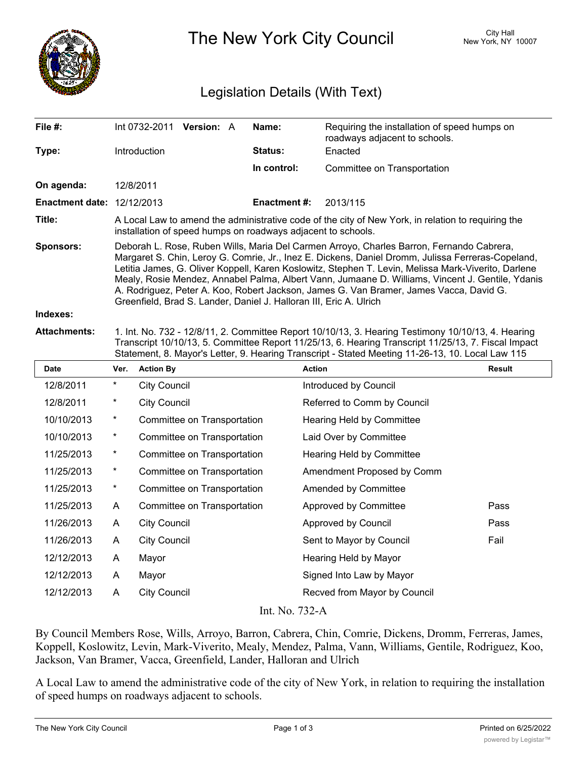

The New York City Council New York, NY 10007

## Legislation Details (With Text)

| File $#$ :                        | Int 0732-2011                                                                                                                                                                                                                                                                                                                                                                                                                                                                                                                                                            | <b>Version: A</b> |  | Name:               | Requiring the installation of speed humps on<br>roadways adjacent to schools. |  |  |
|-----------------------------------|--------------------------------------------------------------------------------------------------------------------------------------------------------------------------------------------------------------------------------------------------------------------------------------------------------------------------------------------------------------------------------------------------------------------------------------------------------------------------------------------------------------------------------------------------------------------------|-------------------|--|---------------------|-------------------------------------------------------------------------------|--|--|
| Type:                             | <b>Introduction</b>                                                                                                                                                                                                                                                                                                                                                                                                                                                                                                                                                      |                   |  | <b>Status:</b>      | Enacted                                                                       |  |  |
|                                   |                                                                                                                                                                                                                                                                                                                                                                                                                                                                                                                                                                          |                   |  | In control:         | Committee on Transportation                                                   |  |  |
| On agenda:                        | 12/8/2011                                                                                                                                                                                                                                                                                                                                                                                                                                                                                                                                                                |                   |  |                     |                                                                               |  |  |
| <b>Enactment date: 12/12/2013</b> |                                                                                                                                                                                                                                                                                                                                                                                                                                                                                                                                                                          |                   |  | <b>Enactment #:</b> | 2013/115                                                                      |  |  |
| Title:                            | A Local Law to amend the administrative code of the city of New York, in relation to requiring the<br>installation of speed humps on roadways adjacent to schools.                                                                                                                                                                                                                                                                                                                                                                                                       |                   |  |                     |                                                                               |  |  |
| <b>Sponsors:</b>                  | Deborah L. Rose, Ruben Wills, Maria Del Carmen Arroyo, Charles Barron, Fernando Cabrera,<br>Margaret S. Chin, Leroy G. Comrie, Jr., Inez E. Dickens, Daniel Dromm, Julissa Ferreras-Copeland,<br>Letitia James, G. Oliver Koppell, Karen Koslowitz, Stephen T. Levin, Melissa Mark-Viverito, Darlene<br>Mealy, Rosie Mendez, Annabel Palma, Albert Vann, Jumaane D. Williams, Vincent J. Gentile, Ydanis<br>A. Rodriguez, Peter A. Koo, Robert Jackson, James G. Van Bramer, James Vacca, David G.<br>Greenfield, Brad S. Lander, Daniel J. Halloran III, Eric A. Ulrich |                   |  |                     |                                                                               |  |  |
| Indexes:                          |                                                                                                                                                                                                                                                                                                                                                                                                                                                                                                                                                                          |                   |  |                     |                                                                               |  |  |
| <b>Attachments:</b>               | 1. Int. No. 732 - 12/8/11, 2. Committee Report 10/10/13, 3. Hearing Testimony 10/10/13, 4. Hearing<br>Transcript 10/10/13, 5. Committee Report 11/25/13, 6. Hearing Transcript 11/25/13, 7. Fiscal Impact                                                                                                                                                                                                                                                                                                                                                                |                   |  |                     |                                                                               |  |  |

| Date       | Ver.                        | <b>Action By</b>            | <b>Action</b>                | <b>Result</b> |  |  |  |  |
|------------|-----------------------------|-----------------------------|------------------------------|---------------|--|--|--|--|
| 12/8/2011  | *                           | City Council                | Introduced by Council        |               |  |  |  |  |
| 12/8/2011  | *                           | <b>City Council</b>         | Referred to Comm by Council  |               |  |  |  |  |
| 10/10/2013 | $\star$                     | Committee on Transportation | Hearing Held by Committee    |               |  |  |  |  |
| 10/10/2013 | $^{\star}$                  | Committee on Transportation | Laid Over by Committee       |               |  |  |  |  |
| 11/25/2013 | $\star$                     | Committee on Transportation | Hearing Held by Committee    |               |  |  |  |  |
| 11/25/2013 | *                           | Committee on Transportation | Amendment Proposed by Comm   |               |  |  |  |  |
| 11/25/2013 | *                           | Committee on Transportation | Amended by Committee         |               |  |  |  |  |
| 11/25/2013 | A                           | Committee on Transportation | Approved by Committee        | Pass          |  |  |  |  |
| 11/26/2013 | A                           | <b>City Council</b>         | Approved by Council          | Pass          |  |  |  |  |
| 11/26/2013 | A                           | <b>City Council</b>         | Sent to Mayor by Council     | Fail          |  |  |  |  |
| 12/12/2013 | A                           | Mayor                       | Hearing Held by Mayor        |               |  |  |  |  |
| 12/12/2013 | A                           | Mayor                       | Signed Into Law by Mayor     |               |  |  |  |  |
| 12/12/2013 | A                           | City Council                | Recved from Mayor by Council |               |  |  |  |  |
|            | $L_{\text{max}}$ NL $722.4$ |                             |                              |               |  |  |  |  |

Statement, 8. Mayor's Letter, 9. Hearing Transcript - Stated Meeting 11-26-13, 10. Local Law 115

## Int. No. 732-A

By Council Members Rose, Wills, Arroyo, Barron, Cabrera, Chin, Comrie, Dickens, Dromm, Ferreras, James, Koppell, Koslowitz, Levin, Mark-Viverito, Mealy, Mendez, Palma, Vann, Williams, Gentile, Rodriguez, Koo, Jackson, Van Bramer, Vacca, Greenfield, Lander, Halloran and Ulrich

A Local Law to amend the administrative code of the city of New York, in relation to requiring the installation of speed humps on roadways adjacent to schools.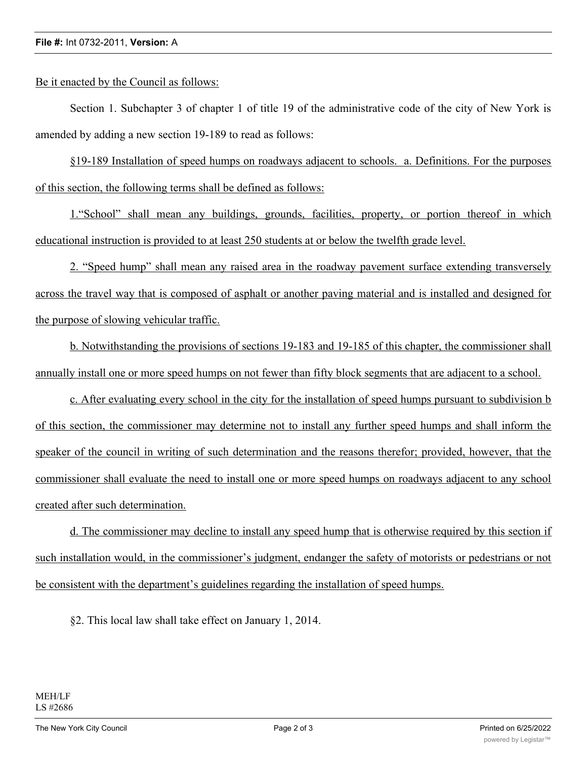## **File #:** Int 0732-2011, **Version:** A

Be it enacted by the Council as follows:

Section 1. Subchapter 3 of chapter 1 of title 19 of the administrative code of the city of New York is amended by adding a new section 19-189 to read as follows:

§19-189 Installation of speed humps on roadways adjacent to schools. a. Definitions. For the purposes of this section, the following terms shall be defined as follows:

1."School" shall mean any buildings, grounds, facilities, property, or portion thereof in which educational instruction is provided to at least 250 students at or below the twelfth grade level.

2. "Speed hump" shall mean any raised area in the roadway pavement surface extending transversely across the travel way that is composed of asphalt or another paving material and is installed and designed for the purpose of slowing vehicular traffic.

b. Notwithstanding the provisions of sections 19-183 and 19-185 of this chapter, the commissioner shall annually install one or more speed humps on not fewer than fifty block segments that are adjacent to a school.

c. After evaluating every school in the city for the installation of speed humps pursuant to subdivision b of this section, the commissioner may determine not to install any further speed humps and shall inform the speaker of the council in writing of such determination and the reasons therefor; provided, however, that the commissioner shall evaluate the need to install one or more speed humps on roadways adjacent to any school created after such determination.

d. The commissioner may decline to install any speed hump that is otherwise required by this section if such installation would, in the commissioner's judgment, endanger the safety of motorists or pedestrians or not be consistent with the department's guidelines regarding the installation of speed humps.

§2. This local law shall take effect on January 1, 2014.